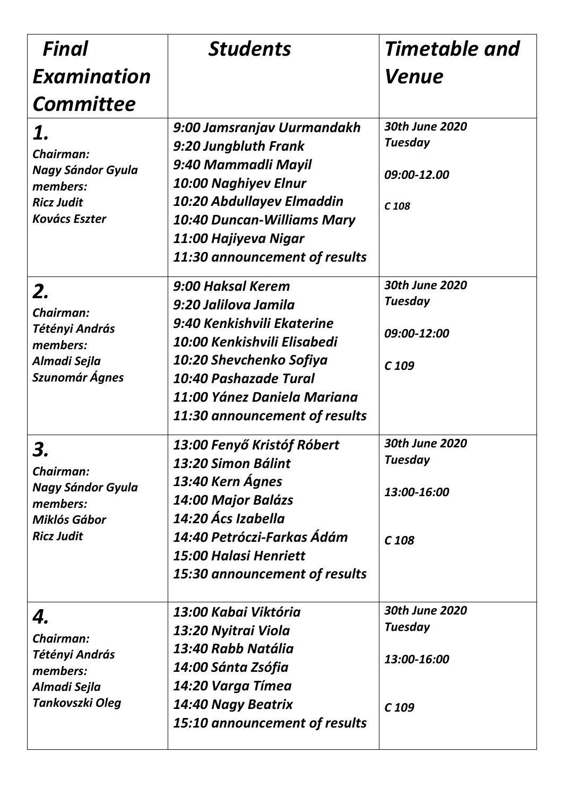| Final                                                                                                | <b>Students</b>                                                                                                                                                                                                              | Timetable and                                                       |
|------------------------------------------------------------------------------------------------------|------------------------------------------------------------------------------------------------------------------------------------------------------------------------------------------------------------------------------|---------------------------------------------------------------------|
| Examination                                                                                          |                                                                                                                                                                                                                              | Venue                                                               |
| <b>Committee</b>                                                                                     |                                                                                                                                                                                                                              |                                                                     |
| 1.<br>Chairman:<br><b>Nagy Sándor Gyula</b><br>members:<br><b>Ricz Judit</b><br><b>Kovács Eszter</b> | 9:00 Jamsranjav Uurmandakh<br>9:20 Jungbluth Frank<br>9:40 Mammadli Mayil<br>10:00 Naghiyev Elnur<br>10:20 Abdullayev Elmaddin<br><b>10:40 Duncan-Williams Mary</b><br>11:00 Hajiyeva Nigar<br>11:30 announcement of results | 30th June 2020<br><b>Tuesday</b><br>09:00-12.00<br>C <sub>108</sub> |
| 2.<br>Chairman:<br>Tétényi András<br>members:<br>Almadi Sejla<br>Szunomár Ágnes                      | 9:00 Haksal Kerem<br>9:20 Jalilova Jamila<br>9:40 Kenkishvili Ekaterine<br>10:00 Kenkishvili Elisabedi<br>10:20 Shevchenko Sofiya<br>10:40 Pashazade Tural<br>11:00 Yánez Daniela Mariana<br>11:30 announcement of results   | 30th June 2020<br><b>Tuesday</b><br>09:00-12:00<br>$C$ 109          |
| 3<br>Chairman:<br><b>Nagy Sándor Gyula</b><br>members:<br>Miklós Gábor<br><b>Ricz Judit</b>          | 13:00 Fenyő Kristóf Róbert<br>13:20 Simon Bálint<br>13:40 Kern Ágnes<br>14:00 Major Balázs<br>14:20 Ács Izabella<br>14:40 Petróczi-Farkas Ádám<br><b>15:00 Halasi Henriett</b><br>15:30 announcement of results              | 30th June 2020<br><b>Tuesday</b><br>13:00-16:00<br>C <sub>108</sub> |
| 4.<br>Chairman:<br>Tétényi András<br>members:<br>Almadi Sejla<br>Tankovszki Oleg                     | 13:00 Kabai Viktória<br>13:20 Nyitrai Viola<br>13:40 Rabb Natália<br>14:00 Sánta Zsófia<br>14:20 Varga Tímea<br>14:40 Nagy Beatrix<br><b>15:10 announcement of results</b>                                                   | 30th June 2020<br><b>Tuesday</b><br>13:00-16:00<br>C <sub>109</sub> |